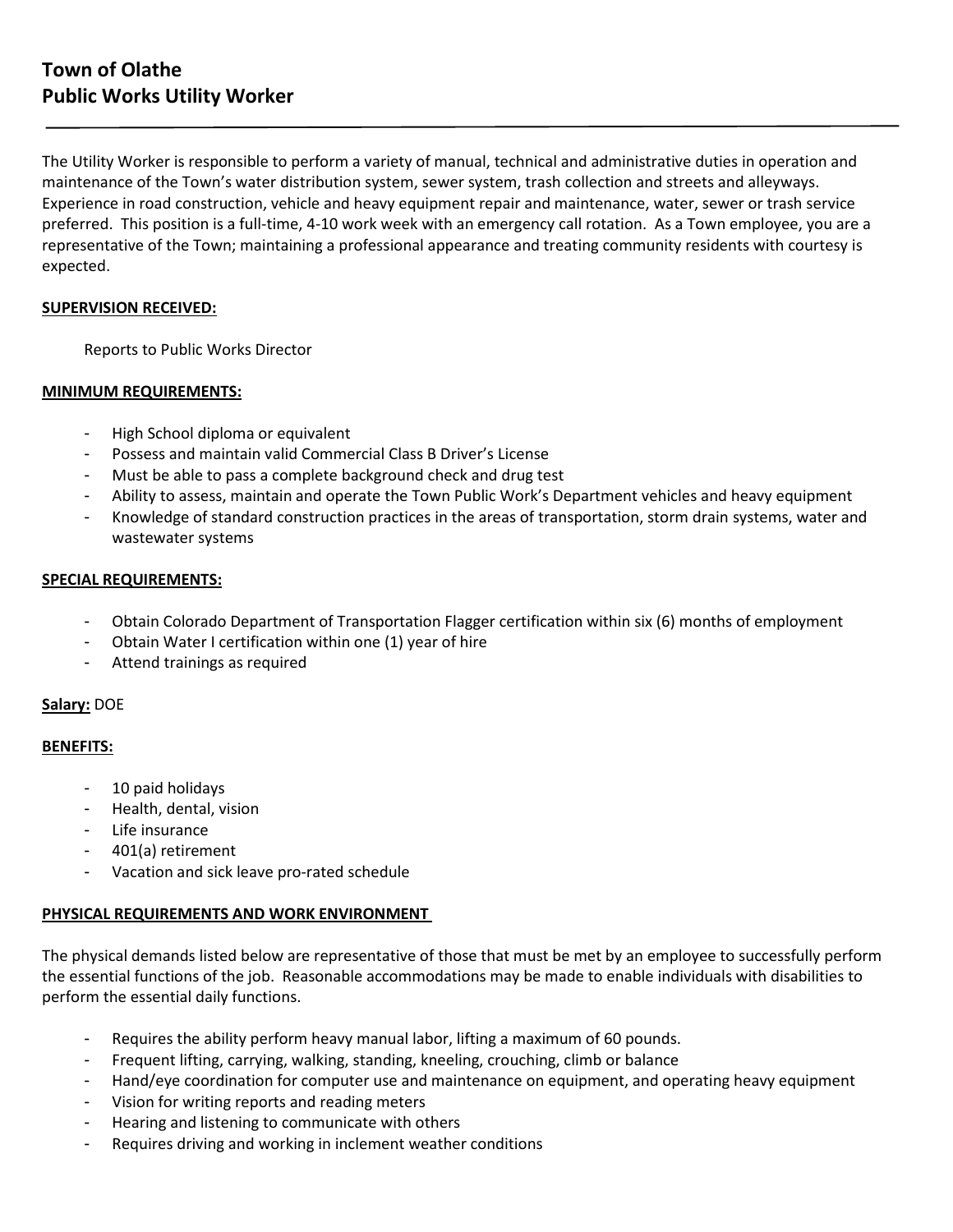The Utility Worker is responsible to perform a variety of manual, technical and administrative duties in operation and maintenance of the Town's water distribution system, sewer system, trash collection and streets and alleyways. Experience in road construction, vehicle and heavy equipment repair and maintenance, water, sewer or trash service preferred. This position is a full-time, 4-10 work week with an emergency call rotation. As a Town employee, you are a representative of the Town; maintaining a professional appearance and treating community residents with courtesy is expected.

# **SUPERVISION RECEIVED:**

Reports to Public Works Director

# **MINIMUM REQUIREMENTS:**

- High School diploma or equivalent
- Possess and maintain valid Commercial Class B Driver's License
- Must be able to pass a complete background check and drug test
- Ability to assess, maintain and operate the Town Public Work's Department vehicles and heavy equipment
- Knowledge of standard construction practices in the areas of transportation, storm drain systems, water and wastewater systems

# **SPECIAL REQUIREMENTS:**

- Obtain Colorado Department of Transportation Flagger certification within six (6) months of employment
- Obtain Water I certification within one (1) year of hire
- Attend trainings as required

### **Salary:** DOE

### **BENEFITS:**

- 10 paid holidays
- Health, dental, vision
- Life insurance
- 401(a) retirement
- Vacation and sick leave pro-rated schedule

### **PHYSICAL REQUIREMENTS AND WORK ENVIRONMENT**

The physical demands listed below are representative of those that must be met by an employee to successfully perform the essential functions of the job. Reasonable accommodations may be made to enable individuals with disabilities to perform the essential daily functions.

- Requires the ability perform heavy manual labor, lifting a maximum of 60 pounds.
- Frequent lifting, carrying, walking, standing, kneeling, crouching, climb or balance
- Hand/eye coordination for computer use and maintenance on equipment, and operating heavy equipment
- Vision for writing reports and reading meters
- Hearing and listening to communicate with others
- Requires driving and working in inclement weather conditions